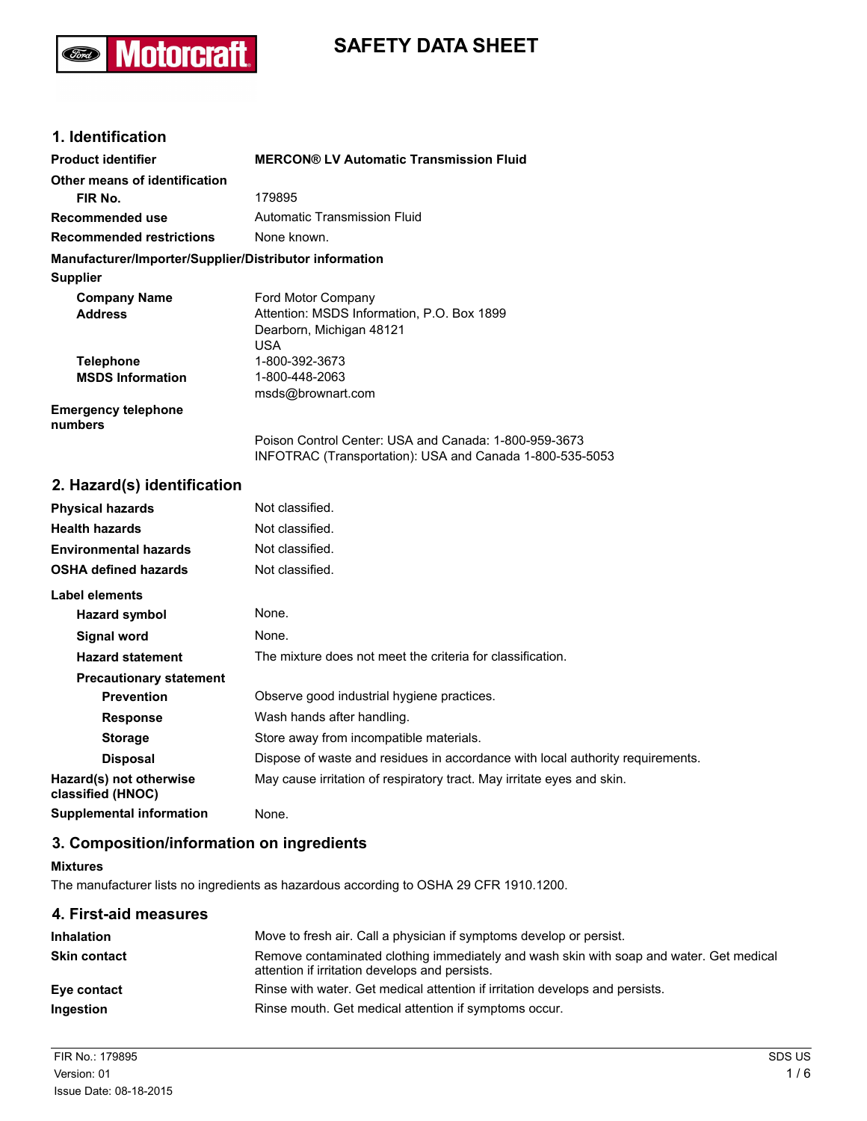# **Motorcraft** Ford)

# **SAFETY DATA SHEET**

# **1. Identification**

| <b>Product identifier</b>                              | <b>MERCON® LV Automatic Transmission Fluid</b>           |
|--------------------------------------------------------|----------------------------------------------------------|
| Other means of identification                          |                                                          |
| FIR No.                                                | 179895                                                   |
| <b>Recommended use</b>                                 | Automatic Transmission Fluid                             |
| <b>Recommended restrictions</b>                        | None known.                                              |
| Manufacturer/Importer/Supplier/Distributor information |                                                          |
| <b>Supplier</b>                                        |                                                          |
| <b>Company Name</b>                                    | Ford Motor Company                                       |
| <b>Address</b>                                         | Attention: MSDS Information, P.O. Box 1899               |
|                                                        | Dearborn, Michigan 48121                                 |
|                                                        | USA                                                      |
| <b>Telephone</b>                                       | 1-800-392-3673                                           |
| <b>MSDS Information</b>                                | 1-800-448-2063                                           |
|                                                        | msds@brownart.com                                        |
| <b>Emergency telephone</b><br>numbers                  |                                                          |
|                                                        | Poison Control Center: USA and Canada: 1-800-959-3673    |
|                                                        | INFOTRAC (Transportation): USA and Canada 1-800-535-5053 |

### **2. Hazard(s) identification**

| <b>Physical hazards</b>                      | Not classified.                                                                |
|----------------------------------------------|--------------------------------------------------------------------------------|
| <b>Health hazards</b>                        | Not classified.                                                                |
| <b>Environmental hazards</b>                 | Not classified.                                                                |
| <b>OSHA defined hazards</b>                  | Not classified.                                                                |
| Label elements                               |                                                                                |
| Hazard symbol                                | None.                                                                          |
| Signal word                                  | None.                                                                          |
| <b>Hazard statement</b>                      | The mixture does not meet the criteria for classification.                     |
| <b>Precautionary statement</b>               |                                                                                |
| <b>Prevention</b>                            | Observe good industrial hygiene practices.                                     |
| <b>Response</b>                              | Wash hands after handling.                                                     |
| <b>Storage</b>                               | Store away from incompatible materials.                                        |
| <b>Disposal</b>                              | Dispose of waste and residues in accordance with local authority requirements. |
| Hazard(s) not otherwise<br>classified (HNOC) | May cause irritation of respiratory tract. May irritate eyes and skin.         |
| <b>Supplemental information</b>              | None.                                                                          |

### **3. Composition/information on ingredients**

#### **Mixtures**

The manufacturer lists no ingredients as hazardous according to OSHA 29 CFR 1910.1200.

| Move to fresh air. Call a physician if symptoms develop or persist.                                                                       |
|-------------------------------------------------------------------------------------------------------------------------------------------|
| Remove contaminated clothing immediately and wash skin with soap and water. Get medical<br>attention if irritation develops and persists. |
| Rinse with water. Get medical attention if irritation develops and persists.                                                              |
| Rinse mouth. Get medical attention if symptoms occur.                                                                                     |
|                                                                                                                                           |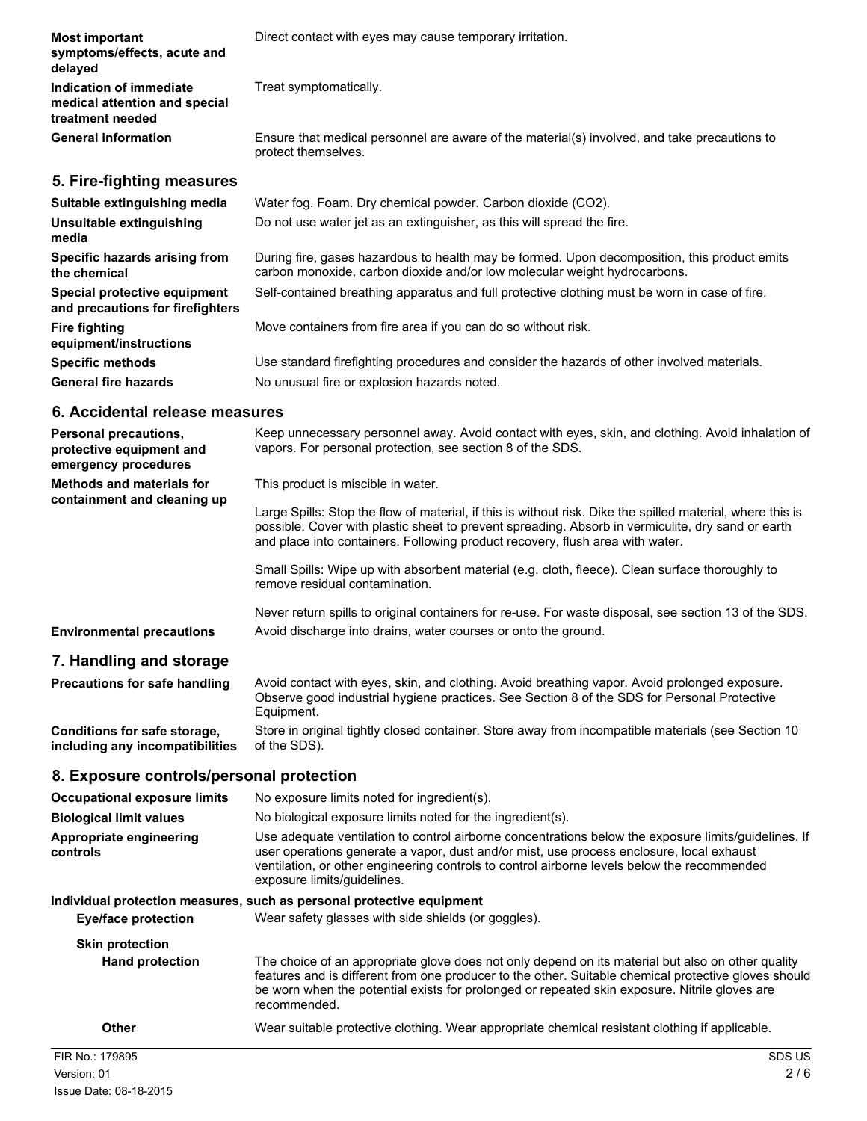| <b>Most important</b><br>symptoms/effects, acute and<br>delayed              | Direct contact with eyes may cause temporary irritation.                                                                                                                  |
|------------------------------------------------------------------------------|---------------------------------------------------------------------------------------------------------------------------------------------------------------------------|
| Indication of immediate<br>medical attention and special<br>treatment needed | Treat symptomatically.                                                                                                                                                    |
| <b>General information</b>                                                   | Ensure that medical personnel are aware of the material(s) involved, and take precautions to<br>protect themselves.                                                       |
| 5. Fire-fighting measures                                                    |                                                                                                                                                                           |
| Suitable extinguishing media                                                 | Water fog. Foam. Dry chemical powder. Carbon dioxide (CO2).                                                                                                               |
| Unsuitable extinguishing<br>media                                            | Do not use water jet as an extinguisher, as this will spread the fire.                                                                                                    |
| Specific hazards arising from<br>the chemical                                | During fire, gases hazardous to health may be formed. Upon decomposition, this product emits<br>carbon monoxide, carbon dioxide and/or low molecular weight hydrocarbons. |
| Special protective equipment<br>and precautions for firefighters             | Self-contained breathing apparatus and full protective clothing must be worn in case of fire.                                                                             |
| <b>Fire fighting</b><br>equipment/instructions                               | Move containers from fire area if you can do so without risk.                                                                                                             |
| <b>Specific methods</b>                                                      | Use standard firefighting procedures and consider the hazards of other involved materials.                                                                                |
| <b>General fire hazards</b>                                                  | No unusual fire or explosion hazards noted.                                                                                                                               |
| 6. Accidental release measures                                               |                                                                                                                                                                           |
| <b>Personal precautions,</b>                                                 | Keep unnecessary personnel away. Avoid contact with eyes, skin, and clothing. Avoid inhalation of                                                                         |

| protective equipment and<br>emergency procedures                | vapors. For personal protection, see section 8 of the SDS.                                                                                                                                                                                                                                       |
|-----------------------------------------------------------------|--------------------------------------------------------------------------------------------------------------------------------------------------------------------------------------------------------------------------------------------------------------------------------------------------|
| <b>Methods and materials for</b><br>containment and cleaning up | This product is miscible in water.                                                                                                                                                                                                                                                               |
|                                                                 | Large Spills: Stop the flow of material, if this is without risk. Dike the spilled material, where this is<br>possible. Cover with plastic sheet to prevent spreading. Absorb in vermiculite, dry sand or earth<br>and place into containers. Following product recovery, flush area with water. |
|                                                                 | Small Spills: Wipe up with absorbent material (e.g. cloth, fleece). Clean surface thoroughly to<br>remove residual contamination.                                                                                                                                                                |
| <b>Environmental precautions</b>                                | Never return spills to original containers for re-use. For waste disposal, see section 13 of the SDS.<br>Avoid discharge into drains, water courses or onto the ground.                                                                                                                          |
| 7. Handling and storage                                         |                                                                                                                                                                                                                                                                                                  |
| Precautions for safe handling                                   | Avoid contact with eyes, skin, and clothing. Avoid breathing vapor. Avoid prolonged exposure.<br>Observe good industrial hygiene practices. See Section 8 of the SDS for Personal Protective<br>Equipment.                                                                                       |

**Conditions for safe storage, including any incompatibilities** Store in original tightly closed container. Store away from incompatible materials (see Section 10 of the SDS).

# **8. Exposure controls/personal protection**

| <b>Occupational exposure limits</b> | No exposure limits noted for ingredient(s).                                                                                                                                                                                                                                                                                    |
|-------------------------------------|--------------------------------------------------------------------------------------------------------------------------------------------------------------------------------------------------------------------------------------------------------------------------------------------------------------------------------|
| <b>Biological limit values</b>      | No biological exposure limits noted for the ingredient(s).                                                                                                                                                                                                                                                                     |
| Appropriate engineering<br>controls | Use adequate ventilation to control airborne concentrations below the exposure limits/quidelines. If<br>user operations generate a vapor, dust and/or mist, use process enclosure, local exhaust<br>ventilation, or other engineering controls to control airborne levels below the recommended<br>exposure limits/guidelines. |
|                                     | Individual protection measures, such as personal protective equipment                                                                                                                                                                                                                                                          |
| <b>Eye/face protection</b>          | Wear safety glasses with side shields (or goggles).                                                                                                                                                                                                                                                                            |
| <b>Skin protection</b>              |                                                                                                                                                                                                                                                                                                                                |
| <b>Hand protection</b>              | The choice of an appropriate glove does not only depend on its material but also on other quality<br>features and is different from one producer to the other. Suitable chemical protective gloves should<br>be worn when the potential exists for prolonged or repeated skin exposure. Nitrile gloves are<br>recommended.     |
| Other                               | Wear suitable protective clothing. Wear appropriate chemical resistant clothing if applicable.                                                                                                                                                                                                                                 |
| FIR No.: 179895                     | SDS US                                                                                                                                                                                                                                                                                                                         |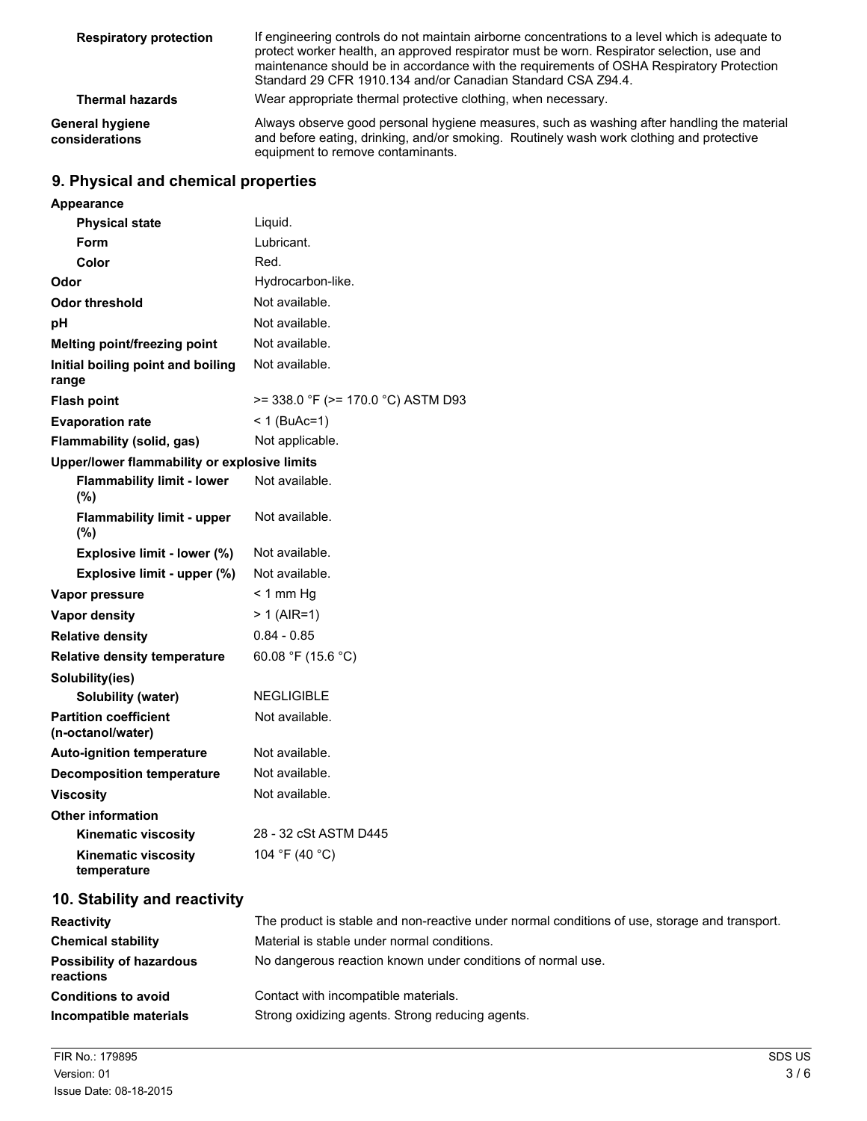| <b>Respiratory protection</b>     | If engineering controls do not maintain airborne concentrations to a level which is adequate to<br>protect worker health, an approved respirator must be worn. Respirator selection, use and<br>maintenance should be in accordance with the requirements of OSHA Respiratory Protection<br>Standard 29 CFR 1910.134 and/or Canadian Standard CSA Z94.4. |
|-----------------------------------|----------------------------------------------------------------------------------------------------------------------------------------------------------------------------------------------------------------------------------------------------------------------------------------------------------------------------------------------------------|
| <b>Thermal hazards</b>            | Wear appropriate thermal protective clothing, when necessary.                                                                                                                                                                                                                                                                                            |
| General hygiene<br>considerations | Always observe good personal hygiene measures, such as washing after handling the material<br>and before eating, drinking, and/or smoking. Routinely wash work clothing and protective<br>equipment to remove contaminants.                                                                                                                              |

# **9. Physical and chemical properties**

| <b>Appearance</b>                            |                                         |
|----------------------------------------------|-----------------------------------------|
| <b>Physical state</b>                        | Liquid.                                 |
| Form                                         | Lubricant.                              |
| Color                                        | Red.                                    |
| Odor                                         | Hydrocarbon-like.                       |
| <b>Odor threshold</b>                        | Not available.                          |
| рH                                           | Not available.                          |
| Melting point/freezing point                 | Not available.                          |
| Initial boiling point and boiling<br>range   | Not available.                          |
| <b>Flash point</b>                           | $>= 338.0$ °F ( $>= 170.0$ °C) ASTM D93 |
| <b>Evaporation rate</b>                      | $< 1$ (BuAc=1)                          |
| Flammability (solid, gas)                    | Not applicable.                         |
| Upper/lower flammability or explosive limits |                                         |
| <b>Flammability limit - lower</b><br>(%)     | Not available.                          |
| <b>Flammability limit - upper</b><br>(%)     | Not available.                          |
| Explosive limit - lower (%)                  | Not available.                          |
| Explosive limit - upper (%)                  | Not available.                          |
| Vapor pressure                               | $<$ 1 mm Hg                             |
| <b>Vapor density</b>                         | $> 1$ (AIR=1)                           |
| <b>Relative density</b>                      | $0.84 - 0.85$                           |
| <b>Relative density temperature</b>          | 60.08 °F (15.6 °C)                      |
| Solubility(ies)                              |                                         |
| <b>Solubility (water)</b>                    | <b>NEGLIGIBLE</b>                       |
| <b>Partition coefficient</b>                 |                                         |
| (n-octanol/water)                            | Not available.                          |
| <b>Auto-ignition temperature</b>             | Not available.                          |
| <b>Decomposition temperature</b>             | Not available.                          |
| <b>Viscosity</b>                             | Not available.                          |
| <b>Other information</b>                     |                                         |
| <b>Kinematic viscosity</b>                   | 28 - 32 cSt ASTM D445                   |

# **10. Stability and reactivity**

| <b>Reactivity</b>                            | The product is stable and non-reactive under normal conditions of use, storage and transport. |
|----------------------------------------------|-----------------------------------------------------------------------------------------------|
| <b>Chemical stability</b>                    | Material is stable under normal conditions.                                                   |
| <b>Possibility of hazardous</b><br>reactions | No dangerous reaction known under conditions of normal use.                                   |
| <b>Conditions to avoid</b>                   | Contact with incompatible materials.                                                          |
| Incompatible materials                       | Strong oxidizing agents. Strong reducing agents.                                              |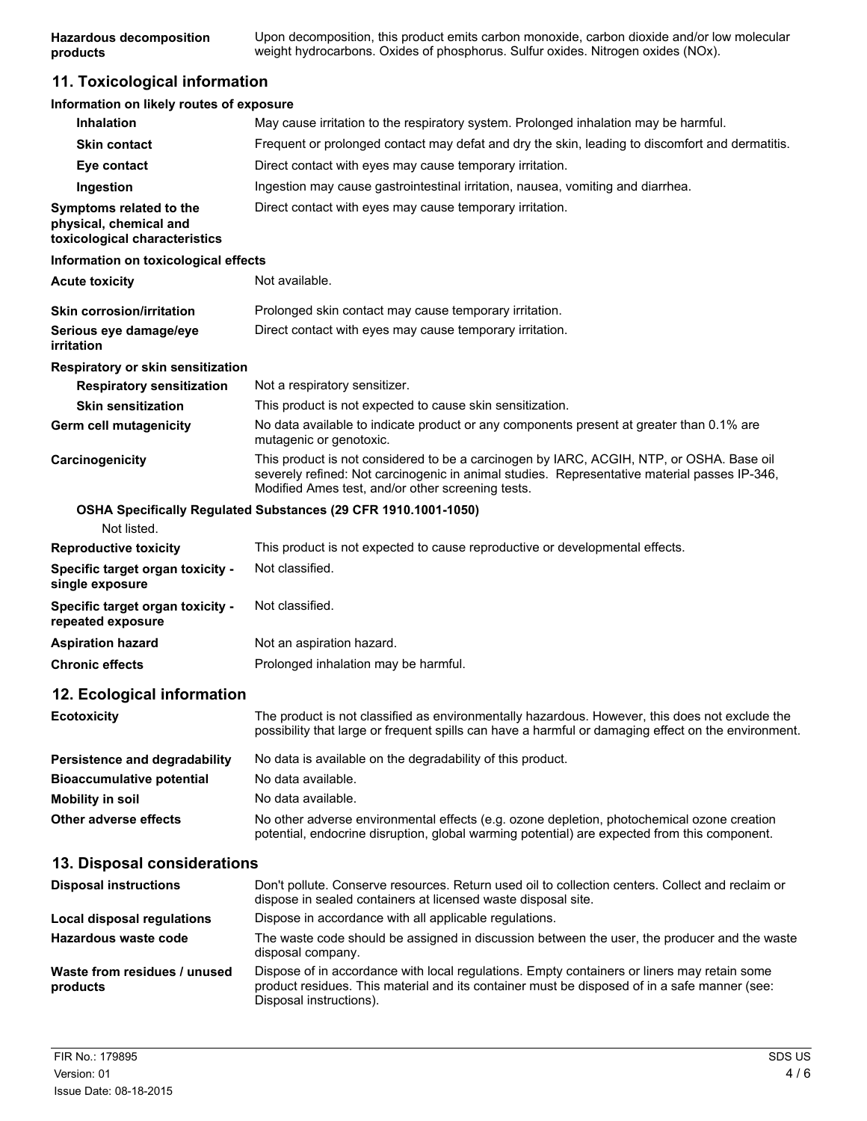### **11. Toxicological information**

| Information on likely routes of exposure                                           |                                                                                                                                                                                                                                               |
|------------------------------------------------------------------------------------|-----------------------------------------------------------------------------------------------------------------------------------------------------------------------------------------------------------------------------------------------|
| <b>Inhalation</b>                                                                  | May cause irritation to the respiratory system. Prolonged inhalation may be harmful.                                                                                                                                                          |
| <b>Skin contact</b>                                                                | Frequent or prolonged contact may defat and dry the skin, leading to discomfort and dermatitis.                                                                                                                                               |
| Eye contact                                                                        | Direct contact with eyes may cause temporary irritation.                                                                                                                                                                                      |
| Ingestion                                                                          | Ingestion may cause gastrointestinal irritation, nausea, vomiting and diarrhea.                                                                                                                                                               |
| Symptoms related to the<br>physical, chemical and<br>toxicological characteristics | Direct contact with eyes may cause temporary irritation.                                                                                                                                                                                      |
| Information on toxicological effects                                               |                                                                                                                                                                                                                                               |
| <b>Acute toxicity</b>                                                              | Not available.                                                                                                                                                                                                                                |
| <b>Skin corrosion/irritation</b>                                                   | Prolonged skin contact may cause temporary irritation.                                                                                                                                                                                        |
| Serious eye damage/eye<br>irritation                                               | Direct contact with eyes may cause temporary irritation.                                                                                                                                                                                      |
| Respiratory or skin sensitization                                                  |                                                                                                                                                                                                                                               |
| <b>Respiratory sensitization</b>                                                   | Not a respiratory sensitizer.                                                                                                                                                                                                                 |
| <b>Skin sensitization</b>                                                          | This product is not expected to cause skin sensitization.                                                                                                                                                                                     |
| Germ cell mutagenicity                                                             | No data available to indicate product or any components present at greater than 0.1% are<br>mutagenic or genotoxic.                                                                                                                           |
| Carcinogenicity                                                                    | This product is not considered to be a carcinogen by IARC, ACGIH, NTP, or OSHA. Base oil<br>severely refined: Not carcinogenic in animal studies. Representative material passes IP-346,<br>Modified Ames test, and/or other screening tests. |
|                                                                                    | OSHA Specifically Regulated Substances (29 CFR 1910.1001-1050)                                                                                                                                                                                |
| Not listed.                                                                        |                                                                                                                                                                                                                                               |
| <b>Reproductive toxicity</b>                                                       | This product is not expected to cause reproductive or developmental effects.                                                                                                                                                                  |
| Specific target organ toxicity -<br>single exposure                                | Not classified.                                                                                                                                                                                                                               |
| Specific target organ toxicity -<br>repeated exposure                              | Not classified.                                                                                                                                                                                                                               |
| <b>Aspiration hazard</b>                                                           | Not an aspiration hazard.                                                                                                                                                                                                                     |
| <b>Chronic effects</b>                                                             | Prolonged inhalation may be harmful.                                                                                                                                                                                                          |
| 12. Ecological information                                                         |                                                                                                                                                                                                                                               |
| <b>Ecotoxicity</b>                                                                 | The product is not classified as environmentally hazardous. However, this does not exclude the<br>possibility that large or frequent spills can have a harmful or damaging effect on the environment.                                         |
| Persistence and degradability                                                      | No data is available on the degradability of this product.                                                                                                                                                                                    |
| <b>Bioaccumulative potential</b>                                                   | No data available.                                                                                                                                                                                                                            |
| <b>Mobility in soil</b>                                                            | No data available.                                                                                                                                                                                                                            |
| Other adverse effects                                                              | No other adverse environmental effects (e.g. ozone depletion, photochemical ozone creation<br>potential, endocrine disruption, global warming potential) are expected from this component.                                                    |
| 13. Disposal considerations                                                        |                                                                                                                                                                                                                                               |
| <b>Disposal instructions</b>                                                       | Don't pollute. Conserve resources. Return used oil to collection centers. Collect and reclaim or<br>dispose in sealed containers at licensed waste disposal site.                                                                             |
| <b>Local disposal regulations</b>                                                  | Dispose in accordance with all applicable regulations.                                                                                                                                                                                        |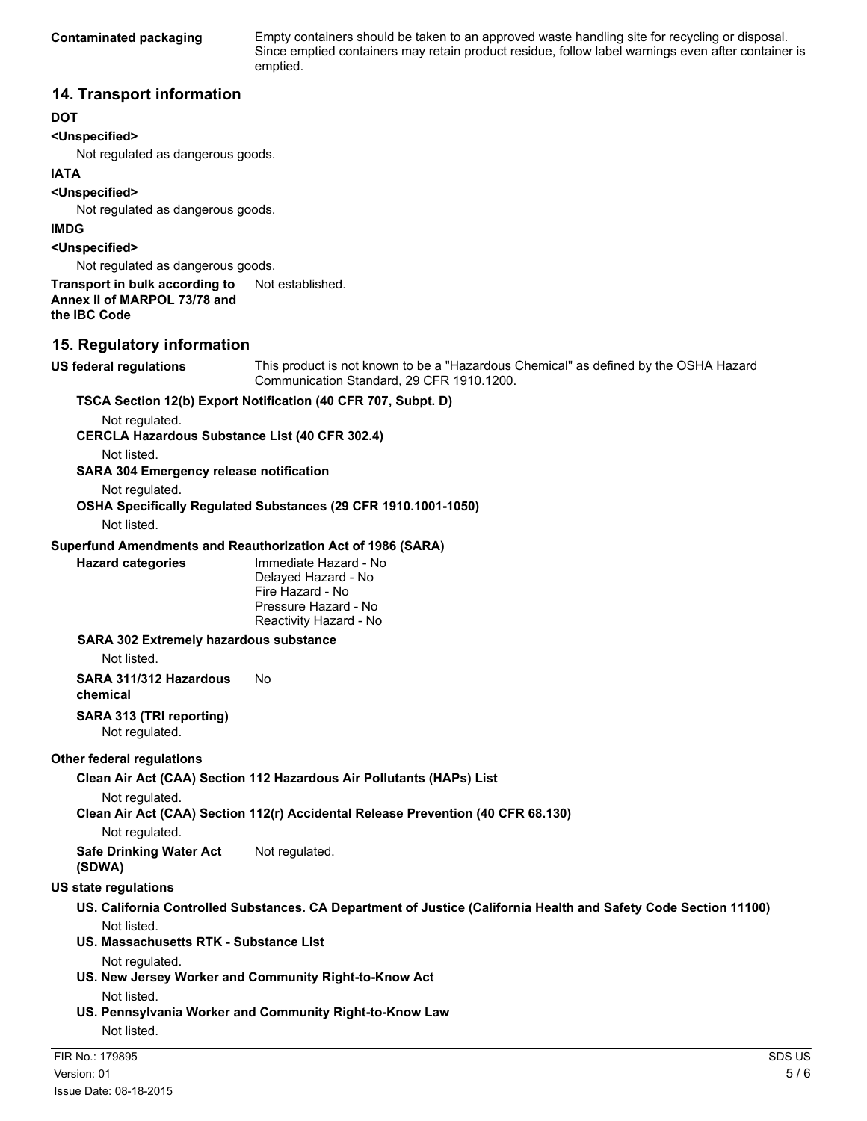**Contaminated packaging** Empty containers should be taken to an approved waste handling site for recycling or disposal. Since emptied containers may retain product residue, follow label warnings even after container is emptied.

### **14. Transport information**

### **DOT**

### **<Unspecified>**

Not regulated as dangerous goods.

### **IATA**

**<Unspecified>**

Not regulated as dangerous goods.

#### **IMDG**

**<Unspecified>**

Not regulated as dangerous goods.

#### **Transport in bulk according to** Not established. **Annex II of MARPOL 73/78 and the IBC Code**

### **15. Regulatory information**

**US federal regulations** This product is not known to be a "Hazardous Chemical" as defined by the OSHA Hazard Communication Standard, 29 CFR 1910.1200. **TSCA Section 12(b) Export Notification (40 CFR 707, Subpt. D)**

Not regulated.

**CERCLA Hazardous Substance List (40 CFR 302.4)**

Not listed.

**SARA 304 Emergency release notification**

Not regulated.

**OSHA Specifically Regulated Substances (29 CFR 1910.1001-1050)**

Not listed.

#### **Superfund Amendments and Reauthorization Act of 1986 (SARA)**

**Hazard categories** Immediate Hazard - No Delayed Hazard - No Fire Hazard - No Pressure Hazard - No Reactivity Hazard - No

#### **SARA 302 Extremely hazardous substance**

Not listed.

**SARA 311/312 Hazardous chemical** No

# **SARA 313 (TRI reporting)**

Not regulated.

### **Other federal regulations**

**Clean Air Act (CAA) Section 112 Hazardous Air Pollutants (HAPs) List**

Not regulated.

**Clean Air Act (CAA) Section 112(r) Accidental Release Prevention (40 CFR 68.130)**

Not regulated.

**Safe Drinking Water Act (SDWA)** Not regulated.

**US state regulations**

- **US. California Controlled Substances. CA Department of Justice (California Health and Safety Code Section 11100)** Not listed.
- **US. Massachusetts RTK Substance List**

Not regulated.

**US. New Jersey Worker and Community Right-to-Know Act**

Not listed.

**US. Pennsylvania Worker and Community Right-to-Know Law** Not listed.